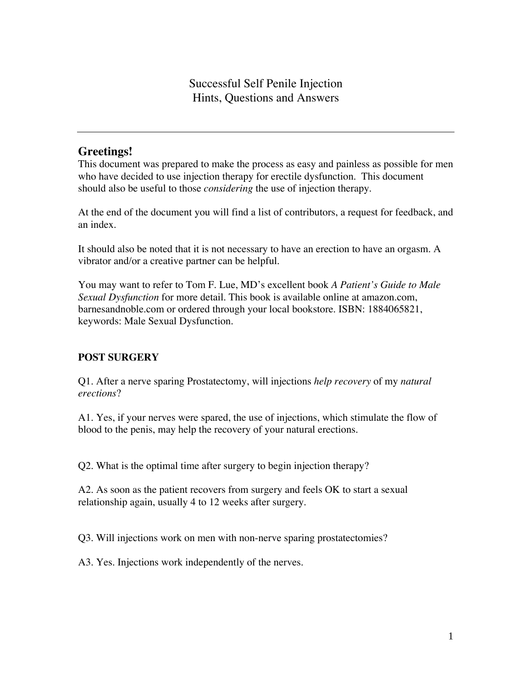# **Greetings!**

This document was prepared to make the process as easy and painless as possible for men who have decided to use injection therapy for erectile dysfunction. This document should also be useful to those *considering* the use of injection therapy.

At the end of the document you will find a list of contributors, a request for feedback, and an index.

It should also be noted that it is not necessary to have an erection to have an orgasm. A vibrator and/or a creative partner can be helpful.

You may want to refer to Tom F. Lue, MD's excellent book *A Patient's Guide to Male Sexual Dysfunction* for more detail. This book is available online at amazon.com, barnesandnoble.com or ordered through your local bookstore. ISBN: 1884065821, keywords: Male Sexual Dysfunction.

## **POST SURGERY**

Q1. After a nerve sparing Prostatectomy, will injections *help recovery* of my *natural erections*?

A1. Yes, if your nerves were spared, the use of injections, which stimulate the flow of blood to the penis, may help the recovery of your natural erections.

Q2. What is the optimal time after surgery to begin injection therapy?

A2. As soon as the patient recovers from surgery and feels OK to start a sexual relationship again, usually 4 to 12 weeks after surgery.

Q3. Will injections work on men with non-nerve sparing prostatectomies?

A3. Yes. Injections work independently of the nerves.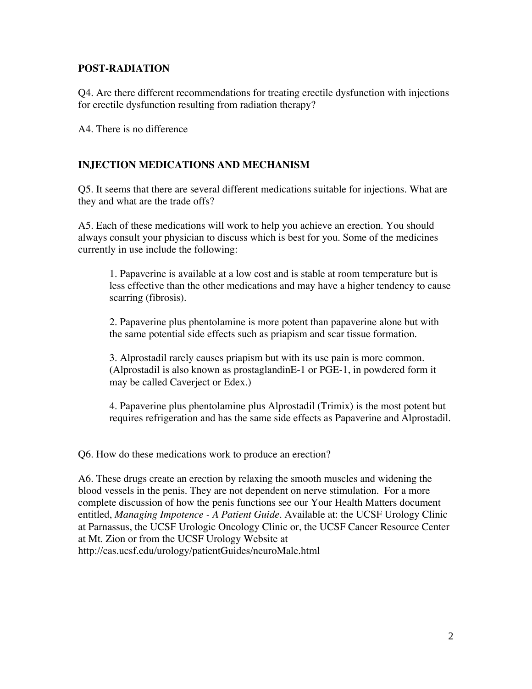## **POST-RADIATION**

Q4. Are there different recommendations for treating erectile dysfunction with injections for erectile dysfunction resulting from radiation therapy?

A4. There is no difference

## **INJECTION MEDICATIONS AND MECHANISM**

Q5. It seems that there are several different medications suitable for injections. What are they and what are the trade offs?

A5. Each of these medications will work to help you achieve an erection. You should always consult your physician to discuss which is best for you. Some of the medicines currently in use include the following:

1. Papaverine is available at a low cost and is stable at room temperature but is less effective than the other medications and may have a higher tendency to cause scarring (fibrosis).

2. Papaverine plus phentolamine is more potent than papaverine alone but with the same potential side effects such as priapism and scar tissue formation.

3. Alprostadil rarely causes priapism but with its use pain is more common. (Alprostadil is also known as prostaglandinE-1 or PGE-1, in powdered form it may be called Caverject or Edex.)

4. Papaverine plus phentolamine plus Alprostadil (Trimix) is the most potent but requires refrigeration and has the same side effects as Papaverine and Alprostadil.

Q6. How do these medications work to produce an erection?

A6. These drugs create an erection by relaxing the smooth muscles and widening the blood vessels in the penis. They are not dependent on nerve stimulation. For a more complete discussion of how the penis functions see our Your Health Matters document entitled, *Managing Impotence - A Patient Guide.* Available at: the UCSF Urology Clinic at Parnassus, the UCSF Urologic Oncology Clinic or, the UCSF Cancer Resource Center at Mt. Zion or from the UCSF Urology Website at http://cas.ucsf.edu/urology/patientGuides/neuroMale.html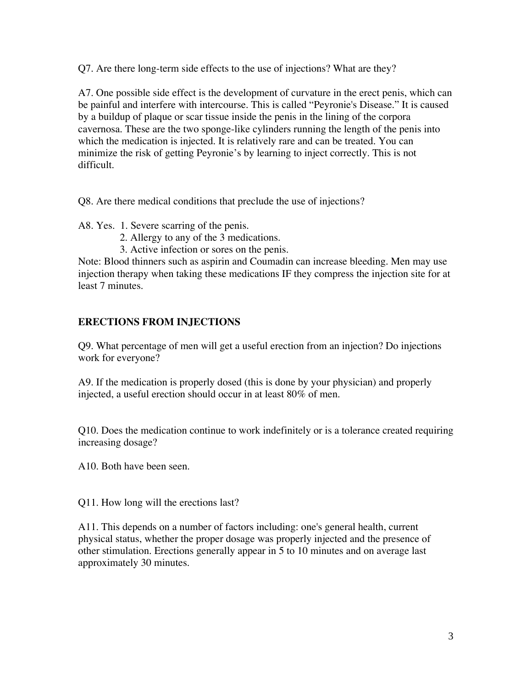Q7. Are there long-term side effects to the use of injections? What are they?

A7. One possible side effect is the development of curvature in the erect penis, which can be painful and interfere with intercourse. This is called "Peyronie's Disease." It is caused by a buildup of plaque or scar tissue inside the penis in the lining of the corpora cavernosa. These are the two sponge-like cylinders running the length of the penis into which the medication is injected. It is relatively rare and can be treated. You can minimize the risk of getting Peyronie's by learning to inject correctly. This is not difficult.

Q8. Are there medical conditions that preclude the use of injections?

A8. Yes. 1. Severe scarring of the penis.

- 2. Allergy to any of the 3 medications.
- 3. Active infection or sores on the penis.

Note: Blood thinners such as aspirin and Coumadin can increase bleeding. Men may use injection therapy when taking these medications IF they compress the injection site for at least 7 minutes.

## **ERECTIONS FROM INJECTIONS**

Q9. What percentage of men will get a useful erection from an injection? Do injections work for everyone?

A9. If the medication is properly dosed (this is done by your physician) and properly injected, a useful erection should occur in at least 80% of men.

Q10. Does the medication continue to work indefinitely or is a tolerance created requiring increasing dosage?

A10. Both have been seen.

Q11. How long will the erections last?

A11. This depends on a number of factors including: one's general health, current physical status, whether the proper dosage was properly injected and the presence of other stimulation. Erections generally appear in 5 to 10 minutes and on average last approximately 30 minutes.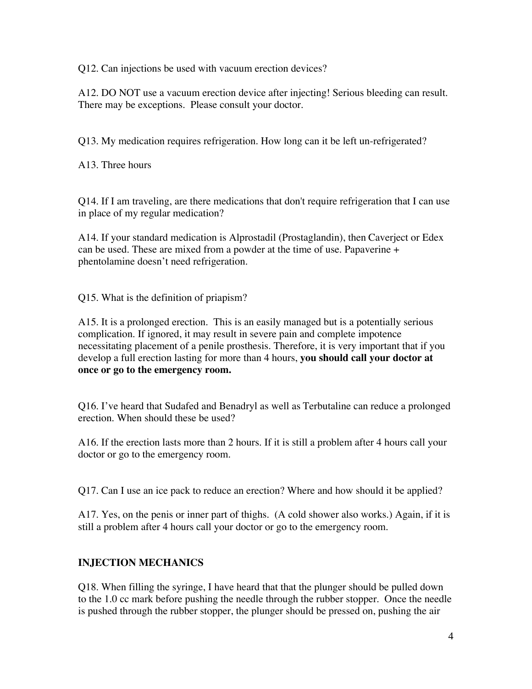Q12. Can injections be used with vacuum erection devices?

A12. DO NOT use a vacuum erection device after injecting! Serious bleeding can result. There may be exceptions. Please consult your doctor.

Q13. My medication requires refrigeration. How long can it be left un-refrigerated?

A13. Three hours

Q14. If I am traveling, are there medications that don't require refrigeration that I can use in place of my regular medication?

A14. If your standard medication is Alprostadil (Prostaglandin), then Caverject or Edex can be used. These are mixed from a powder at the time of use. Papaverine + phentolamine doesn't need refrigeration.

Q15. What is the definition of priapism?

A15. It is a prolonged erection. This is an easily managed but is a potentially serious complication. If ignored, it may result in severe pain and complete impotence necessitating placement of a penile prosthesis. Therefore, it is very important that if you develop a full erection lasting for more than 4 hours, **you should call your doctor at once or go to the emergency room.**

Q16. I've heard that Sudafed and Benadryl as well as Terbutaline can reduce a prolonged erection. When should these be used?

A16. If the erection lasts more than 2 hours. If it is still a problem after 4 hours call your doctor or go to the emergency room.

Q17. Can I use an ice pack to reduce an erection? Where and how should it be applied?

A17. Yes, on the penis or inner part of thighs. (A cold shower also works.) Again, if it is still a problem after 4 hours call your doctor or go to the emergency room.

# **INJECTION MECHANICS**

Q18. When filling the syringe, I have heard that that the plunger should be pulled down to the 1.0 cc mark before pushing the needle through the rubber stopper. Once the needle is pushed through the rubber stopper, the plunger should be pressed on, pushing the air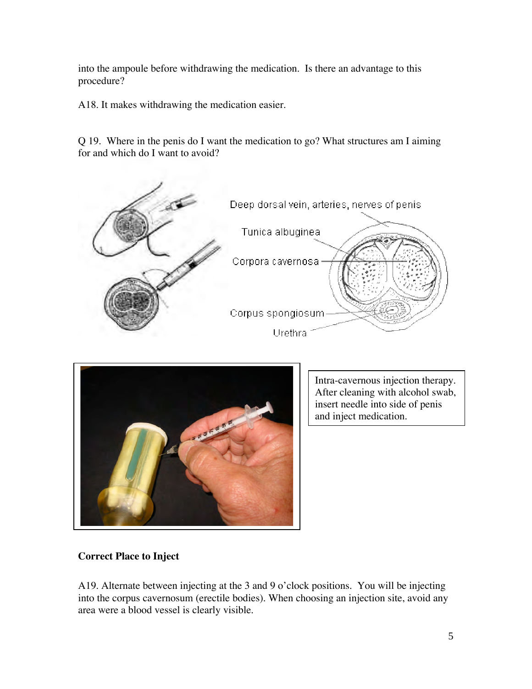into the ampoule before withdrawing the medication. Is there an advantage to this procedure?

A18. It makes withdrawing the medication easier.

Q 19. Where in the penis do I want the medication to go? What structures am I aiming for and which do I want to avoid?





Intra-cavernous injection therapy. After cleaning with alcohol swab, insert needle into side of penis and inject medication.

## **Correct Place to Inject**

A19. Alternate between injecting at the 3 and 9 o'clock positions. You will be injecting into the corpus cavernosum (erectile bodies). When choosing an injection site, avoid any area were a blood vessel is clearly visible.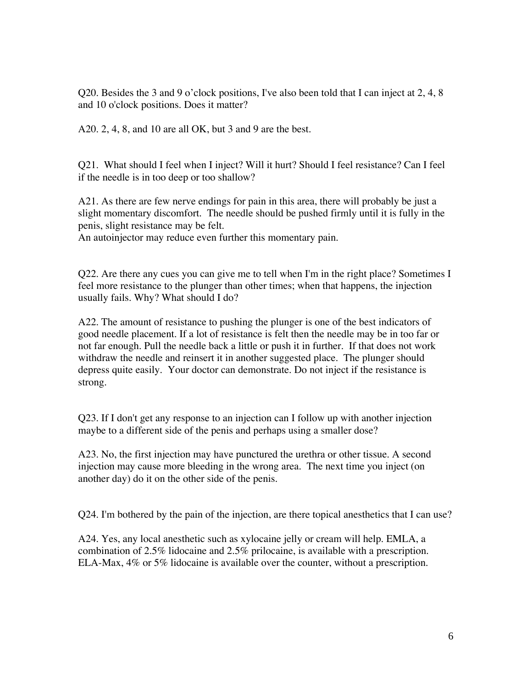Q20. Besides the 3 and 9 o'clock positions, I've also been told that I can inject at 2, 4, 8 and 10 o'clock positions. Does it matter?

A20. 2, 4, 8, and 10 are all OK, but 3 and 9 are the best.

Q21. What should I feel when I inject? Will it hurt? Should I feel resistance? Can I feel if the needle is in too deep or too shallow?

A21. As there are few nerve endings for pain in this area, there will probably be just a slight momentary discomfort. The needle should be pushed firmly until it is fully in the penis, slight resistance may be felt.

An autoinjector may reduce even further this momentary pain.

Q22. Are there any cues you can give me to tell when I'm in the right place? Sometimes I feel more resistance to the plunger than other times; when that happens, the injection usually fails. Why? What should I do?

A22. The amount of resistance to pushing the plunger is one of the best indicators of good needle placement. If a lot of resistance is felt then the needle may be in too far or not far enough. Pull the needle back a little or push it in further. If that does not work withdraw the needle and reinsert it in another suggested place. The plunger should depress quite easily. Your doctor can demonstrate. Do not inject if the resistance is strong.

Q23. If I don't get any response to an injection can I follow up with another injection maybe to a different side of the penis and perhaps using a smaller dose?

A23. No, the first injection may have punctured the urethra or other tissue. A second injection may cause more bleeding in the wrong area. The next time you inject (on another day) do it on the other side of the penis.

Q24. I'm bothered by the pain of the injection, are there topical anesthetics that I can use?

A24. Yes, any local anesthetic such as xylocaine jelly or cream will help. EMLA, a combination of 2.5% lidocaine and 2.5% prilocaine, is available with a prescription. ELA-Max, 4% or 5% lidocaine is available over the counter, without a prescription.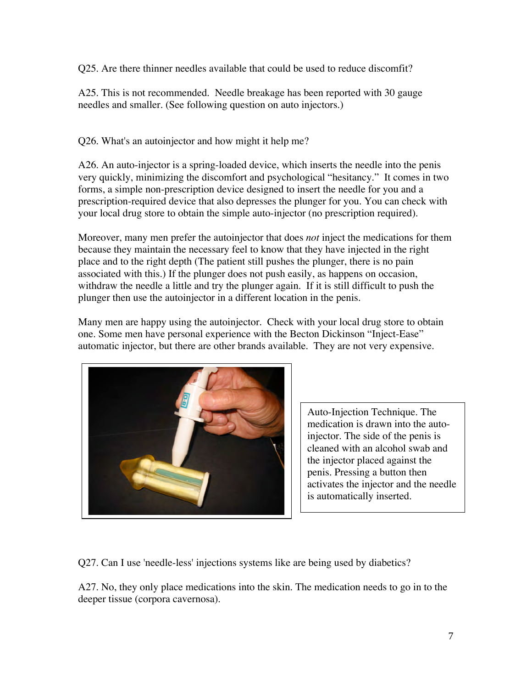Q25. Are there thinner needles available that could be used to reduce discomfit?

A25. This is not recommended. Needle breakage has been reported with 30 gauge needles and smaller. (See following question on auto injectors.)

Q26. What's an autoinjector and how might it help me?

A26. An auto-injector is a spring-loaded device, which inserts the needle into the penis very quickly, minimizing the discomfort and psychological "hesitancy." It comes in two forms, a simple non-prescription device designed to insert the needle for you and a prescription-required device that also depresses the plunger for you. You can check with your local drug store to obtain the simple auto-injector (no prescription required).

Moreover, many men prefer the autoinjector that does *not* inject the medications for them because they maintain the necessary feel to know that they have injected in the right place and to the right depth (The patient still pushes the plunger, there is no pain associated with this.) If the plunger does not push easily, as happens on occasion, withdraw the needle a little and try the plunger again. If it is still difficult to push the plunger then use the autoinjector in a different location in the penis.

Many men are happy using the autoinjector. Check with your local drug store to obtain one. Some men have personal experience with the Becton Dickinson "Inject-Ease" automatic injector, but there are other brands available. They are not very expensive.



Auto-Injection Technique. The medication is drawn into the autoinjector. The side of the penis is cleaned with an alcohol swab and the injector placed against the penis. Pressing a button then activates the injector and the needle is automatically inserted.

Q27. Can I use 'needle-less' injections systems like are being used by diabetics?

A27. No, they only place medications into the skin. The medication needs to go in to the deeper tissue (corpora cavernosa).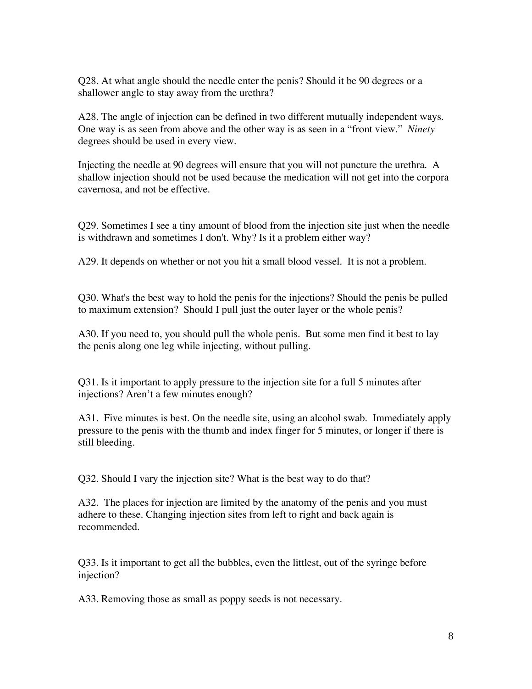Q28. At what angle should the needle enter the penis? Should it be 90 degrees or a shallower angle to stay away from the urethra?

A28. The angle of injection can be defined in two different mutually independent ways. One way is as seen from above and the other way is as seen in a "front view." *Ninety* degrees should be used in every view.

Injecting the needle at 90 degrees will ensure that you will not puncture the urethra. A shallow injection should not be used because the medication will not get into the corpora cavernosa, and not be effective.

Q29. Sometimes I see a tiny amount of blood from the injection site just when the needle is withdrawn and sometimes I don't. Why? Is it a problem either way?

A29. It depends on whether or not you hit a small blood vessel. It is not a problem.

Q30. What's the best way to hold the penis for the injections? Should the penis be pulled to maximum extension? Should I pull just the outer layer or the whole penis?

A30. If you need to, you should pull the whole penis. But some men find it best to lay the penis along one leg while injecting, without pulling.

Q31. Is it important to apply pressure to the injection site for a full 5 minutes after injections? Aren't a few minutes enough?

A31. Five minutes is best. On the needle site, using an alcohol swab. Immediately apply pressure to the penis with the thumb and index finger for 5 minutes, or longer if there is still bleeding.

Q32. Should I vary the injection site? What is the best way to do that?

A32. The places for injection are limited by the anatomy of the penis and you must adhere to these. Changing injection sites from left to right and back again is recommended.

Q33. Is it important to get all the bubbles, even the littlest, out of the syringe before injection?

A33. Removing those as small as poppy seeds is not necessary.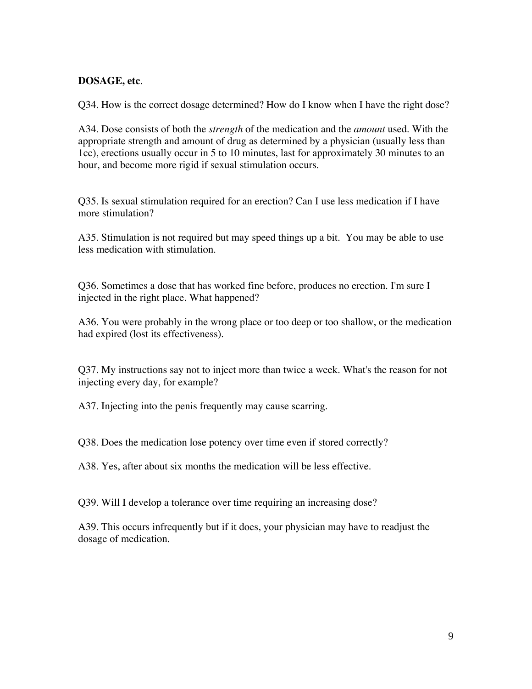### **DOSAGE, etc**.

Q34. How is the correct dosage determined? How do I know when I have the right dose?

A34. Dose consists of both the *strength* of the medication and the *amount* used. With the appropriate strength and amount of drug as determined by a physician (usually less than 1cc), erections usually occur in 5 to 10 minutes, last for approximately 30 minutes to an hour, and become more rigid if sexual stimulation occurs.

Q35. Is sexual stimulation required for an erection? Can I use less medication if I have more stimulation?

A35. Stimulation is not required but may speed things up a bit. You may be able to use less medication with stimulation.

Q36. Sometimes a dose that has worked fine before, produces no erection. I'm sure I injected in the right place. What happened?

A36. You were probably in the wrong place or too deep or too shallow, or the medication had expired (lost its effectiveness).

Q37. My instructions say not to inject more than twice a week. What's the reason for not injecting every day, for example?

A37. Injecting into the penis frequently may cause scarring.

Q38. Does the medication lose potency over time even if stored correctly?

A38. Yes, after about six months the medication will be less effective.

Q39. Will I develop a tolerance over time requiring an increasing dose?

A39. This occurs infrequently but if it does, your physician may have to readjust the dosage of medication.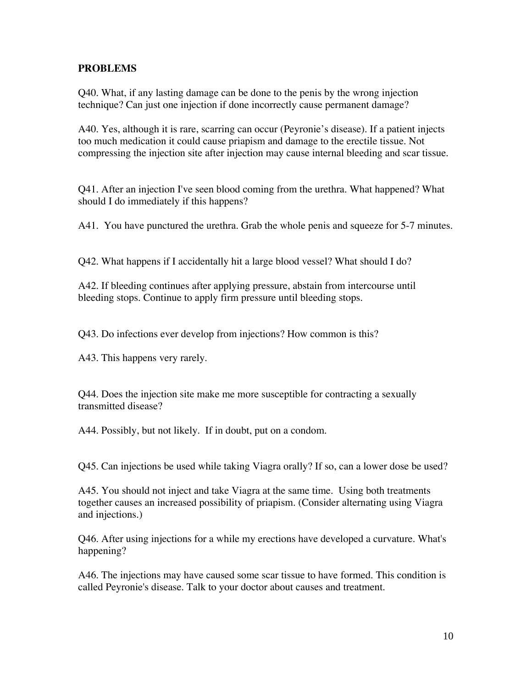## **PROBLEMS**

Q40. What, if any lasting damage can be done to the penis by the wrong injection technique? Can just one injection if done incorrectly cause permanent damage?

A40. Yes, although it is rare, scarring can occur (Peyronie's disease). If a patient injects too much medication it could cause priapism and damage to the erectile tissue. Not compressing the injection site after injection may cause internal bleeding and scar tissue.

Q41. After an injection I've seen blood coming from the urethra. What happened? What should I do immediately if this happens?

A41. You have punctured the urethra. Grab the whole penis and squeeze for 5-7 minutes.

Q42. What happens if I accidentally hit a large blood vessel? What should I do?

A42. If bleeding continues after applying pressure, abstain from intercourse until bleeding stops. Continue to apply firm pressure until bleeding stops.

Q43. Do infections ever develop from injections? How common is this?

A43. This happens very rarely.

Q44. Does the injection site make me more susceptible for contracting a sexually transmitted disease?

A44. Possibly, but not likely. If in doubt, put on a condom.

Q45. Can injections be used while taking Viagra orally? If so, can a lower dose be used?

A45. You should not inject and take Viagra at the same time. Using both treatments together causes an increased possibility of priapism. (Consider alternating using Viagra and injections.)

Q46. After using injections for a while my erections have developed a curvature. What's happening?

A46. The injections may have caused some scar tissue to have formed. This condition is called Peyronie's disease. Talk to your doctor about causes and treatment.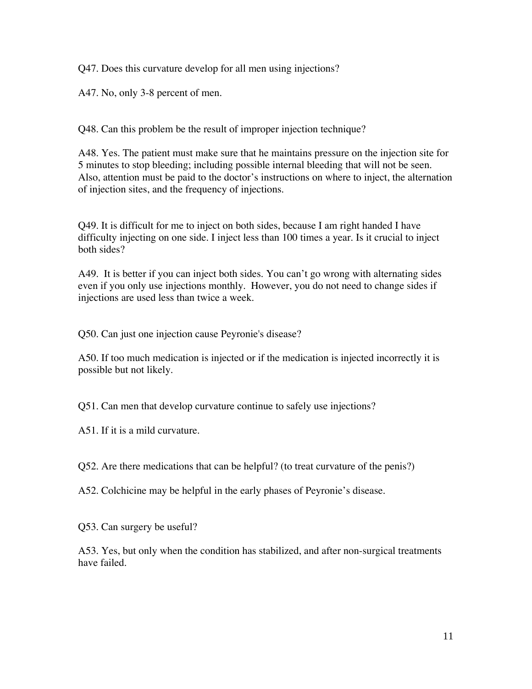Q47. Does this curvature develop for all men using injections?

A47. No, only 3-8 percent of men.

Q48. Can this problem be the result of improper injection technique?

A48. Yes. The patient must make sure that he maintains pressure on the injection site for 5 minutes to stop bleeding; including possible internal bleeding that will not be seen. Also, attention must be paid to the doctor's instructions on where to inject, the alternation of injection sites, and the frequency of injections.

Q49. It is difficult for me to inject on both sides, because I am right handed I have difficulty injecting on one side. I inject less than 100 times a year. Is it crucial to inject both sides?

A49. It is better if you can inject both sides. You can't go wrong with alternating sides even if you only use injections monthly. However, you do not need to change sides if injections are used less than twice a week.

Q50. Can just one injection cause Peyronie's disease?

A50. If too much medication is injected or if the medication is injected incorrectly it is possible but not likely.

Q51. Can men that develop curvature continue to safely use injections?

A51. If it is a mild curvature.

Q52. Are there medications that can be helpful? (to treat curvature of the penis?)

A52. Colchicine may be helpful in the early phases of Peyronie's disease.

Q53. Can surgery be useful?

A53. Yes, but only when the condition has stabilized, and after non-surgical treatments have failed.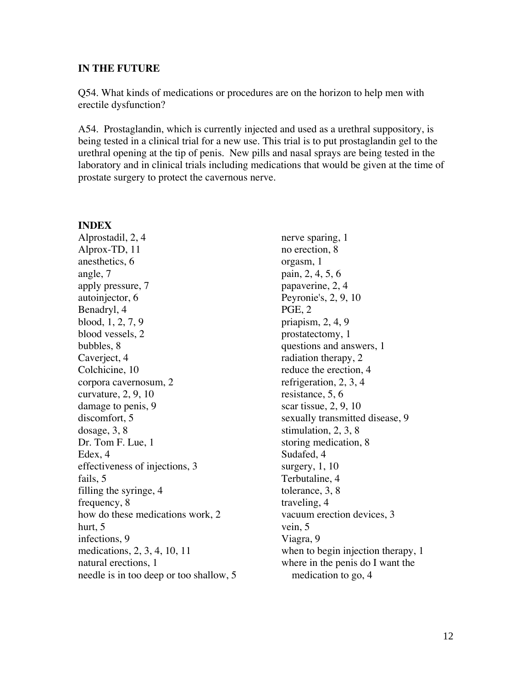#### **IN THE FUTURE**

Q54. What kinds of medications or procedures are on the horizon to help men with erectile dysfunction?

A54. Prostaglandin, which is currently injected and used as a urethral suppository, is being tested in a clinical trial for a new use. This trial is to put prostaglandin gel to the urethral opening at the tip of penis. New pills and nasal sprays are being tested in the laboratory and in clinical trials including medications that would be given at the time of prostate surgery to protect the cavernous nerve.

### **INDEX**

Alprostadil, 2, 4 Alprox-TD, 11 anesthetics, 6 angle, 7 apply pressure, 7 autoinjector, 6 Benadryl, 4 blood, 1, 2, 7, 9 blood vessels, 2 bubbles, 8 Caverject, 4 Colchicine, 10 corpora cavernosum, 2 curvature, 2, 9, 10 damage to penis, 9 discomfort, 5 dosage, 3, 8 Dr. Tom F. Lue, 1 Edex, 4 effectiveness of injections, 3 fails, 5 filling the syringe, 4 frequency, 8 how do these medications work, 2 hurt, 5 infections, 9 medications, 2, 3, 4, 10, 11 natural erections, 1 needle is in too deep or too shallow, 5

nerve sparing, 1 no erection, 8 orgasm, 1 pain, 2, 4, 5, 6 papaverine, 2, 4 Peyronie's, 2, 9, 10 PGE, 2 priapism, 2, 4, 9 prostatectomy, 1 questions and answers, 1 radiation therapy, 2 reduce the erection, 4 refrigeration, 2, 3, 4 resistance, 5, 6 scar tissue, 2, 9, 10 sexually transmitted disease, 9 stimulation, 2, 3, 8 storing medication, 8 Sudafed, 4 surgery, 1, 10 Terbutaline, 4 tolerance, 3, 8 traveling, 4 vacuum erection devices, 3 vein, 5 Viagra, 9 when to begin injection therapy, 1 where in the penis do I want the medication to go, 4